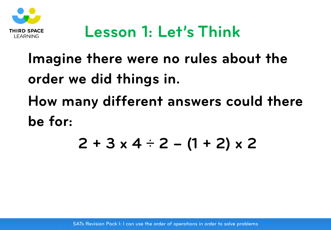

#### **Lesson 1: Let's Think**

# **Imagine there were no rules about the order we did things in. How many different answers could there be for:**

#### **2 + 3 x 4** ÷ **2 – (1 + 2) x 2**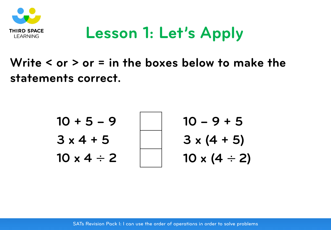

### **Lesson 1: Let's Apply**

**Write < or > or = in the boxes below to make the statements correct.** 

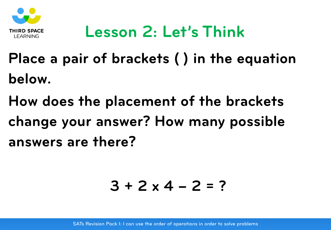

### **Lesson 2: Let's Think**

- **Place a pair of brackets ( ) in the equation below.**
- **How does the placement of the brackets change your answer? How many possible answers are there?**

$$
3 + 2 \times 4 - 2 = ?
$$